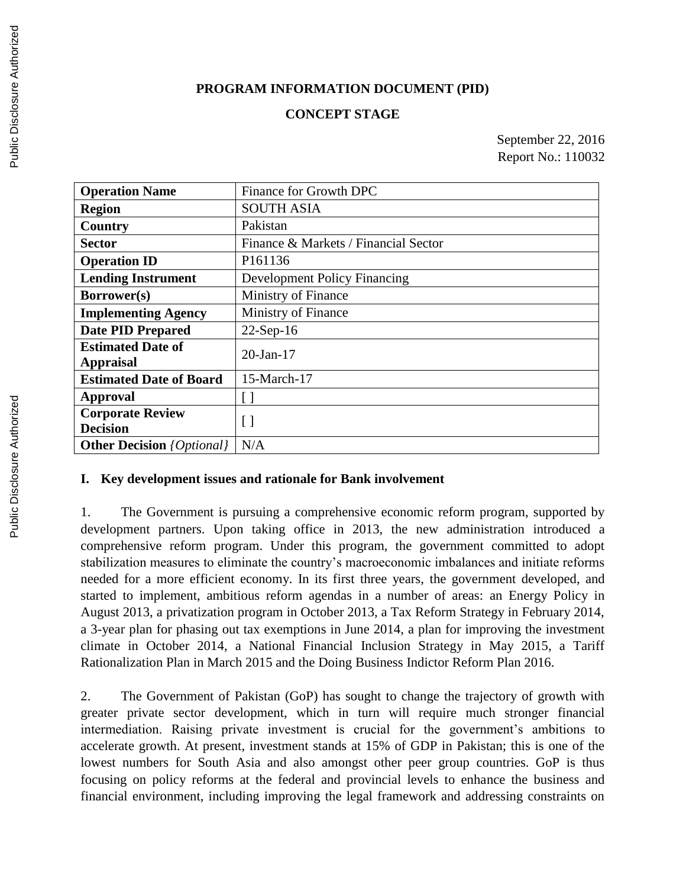#### **PROGRAM INFORMATION DOCUMENT (PID)**

#### **CONCEPT STAGE**

September 22, 2016 Report No.: 110032

| <b>Operation Name</b>                        | Finance for Growth DPC               |
|----------------------------------------------|--------------------------------------|
| <b>Region</b>                                | <b>SOUTH ASIA</b>                    |
| Country                                      | Pakistan                             |
| <b>Sector</b>                                | Finance & Markets / Financial Sector |
| <b>Operation ID</b>                          | P161136                              |
| <b>Lending Instrument</b>                    | <b>Development Policy Financing</b>  |
| Borrower(s)                                  | Ministry of Finance                  |
| <b>Implementing Agency</b>                   | Ministry of Finance                  |
| <b>Date PID Prepared</b>                     | $22$ -Sep-16                         |
| <b>Estimated Date of</b><br><b>Appraisal</b> | $20$ -Jan-17                         |
| <b>Estimated Date of Board</b>               | 15-March-17                          |
| Approval                                     |                                      |
| <b>Corporate Review</b>                      | $\lceil$                             |
| <b>Decision</b>                              |                                      |
| <b>Other Decision</b> <i>{Optional}</i>      | N/A                                  |

#### **I. Key development issues and rationale for Bank involvement**

1. The Government is pursuing a comprehensive economic reform program, supported by development partners. Upon taking office in 2013, the new administration introduced a comprehensive reform program. Under this program, the government committed to adopt stabilization measures to eliminate the country's macroeconomic imbalances and initiate reforms needed for a more efficient economy. In its first three years, the government developed, and started to implement, ambitious reform agendas in a number of areas: an Energy Policy in August 2013, a privatization program in October 2013, a Tax Reform Strategy in February 2014, a 3-year plan for phasing out tax exemptions in June 2014, a plan for improving the investment climate in October 2014, a National Financial Inclusion Strategy in May 2015, a Tariff Rationalization Plan in March 2015 and the Doing Business Indictor Reform Plan 2016.

2. The Government of Pakistan (GoP) has sought to change the trajectory of growth with greater private sector development, which in turn will require much stronger financial intermediation. Raising private investment is crucial for the government's ambitions to accelerate growth. At present, investment stands at 15% of GDP in Pakistan; this is one of the lowest numbers for South Asia and also amongst other peer group countries. GoP is thus focusing on policy reforms at the federal and provincial levels to enhance the business and financial environment, including improving the legal framework and addressing constraints on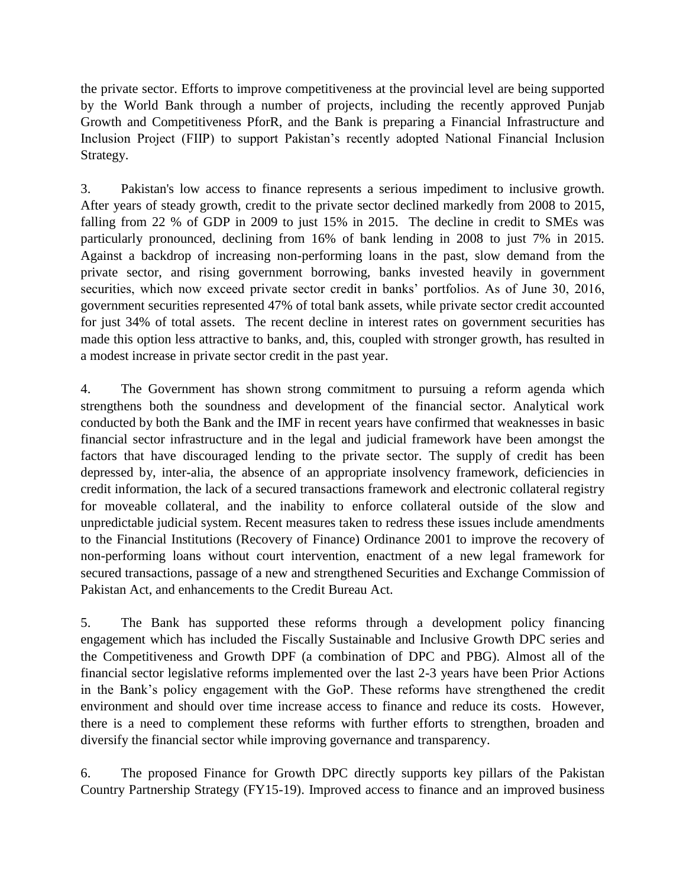the private sector. Efforts to improve competitiveness at the provincial level are being supported by the World Bank through a number of projects, including the recently approved Punjab Growth and Competitiveness PforR, and the Bank is preparing a Financial Infrastructure and Inclusion Project (FIIP) to support Pakistan's recently adopted National Financial Inclusion Strategy.

3. Pakistan's low access to finance represents a serious impediment to inclusive growth. After years of steady growth, credit to the private sector declined markedly from 2008 to 2015, falling from 22 % of GDP in 2009 to just 15% in 2015. The decline in credit to SMEs was particularly pronounced, declining from 16% of bank lending in 2008 to just 7% in 2015. Against a backdrop of increasing non-performing loans in the past, slow demand from the private sector, and rising government borrowing, banks invested heavily in government securities, which now exceed private sector credit in banks' portfolios. As of June 30, 2016, government securities represented 47% of total bank assets, while private sector credit accounted for just 34% of total assets. The recent decline in interest rates on government securities has made this option less attractive to banks, and, this, coupled with stronger growth, has resulted in a modest increase in private sector credit in the past year.

4. The Government has shown strong commitment to pursuing a reform agenda which strengthens both the soundness and development of the financial sector. Analytical work conducted by both the Bank and the IMF in recent years have confirmed that weaknesses in basic financial sector infrastructure and in the legal and judicial framework have been amongst the factors that have discouraged lending to the private sector. The supply of credit has been depressed by, inter-alia, the absence of an appropriate insolvency framework, deficiencies in credit information, the lack of a secured transactions framework and electronic collateral registry for moveable collateral, and the inability to enforce collateral outside of the slow and unpredictable judicial system. Recent measures taken to redress these issues include amendments to the Financial Institutions (Recovery of Finance) Ordinance 2001 to improve the recovery of non-performing loans without court intervention, enactment of a new legal framework for secured transactions, passage of a new and strengthened Securities and Exchange Commission of Pakistan Act, and enhancements to the Credit Bureau Act.

5. The Bank has supported these reforms through a development policy financing engagement which has included the Fiscally Sustainable and Inclusive Growth DPC series and the Competitiveness and Growth DPF (a combination of DPC and PBG). Almost all of the financial sector legislative reforms implemented over the last 2-3 years have been Prior Actions in the Bank's policy engagement with the GoP. These reforms have strengthened the credit environment and should over time increase access to finance and reduce its costs. However, there is a need to complement these reforms with further efforts to strengthen, broaden and diversify the financial sector while improving governance and transparency.

6. The proposed Finance for Growth DPC directly supports key pillars of the Pakistan Country Partnership Strategy (FY15-19). Improved access to finance and an improved business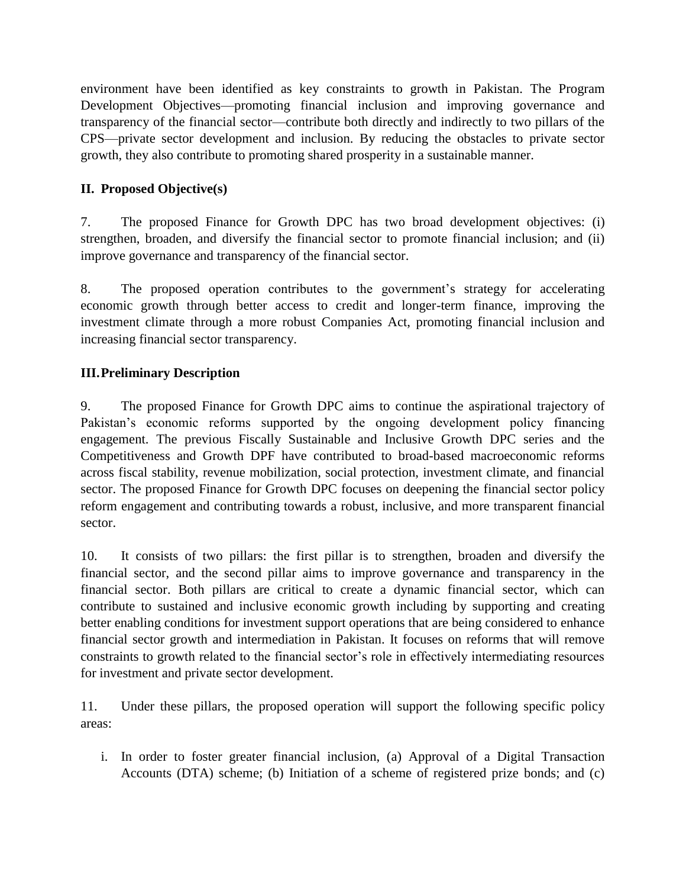environment have been identified as key constraints to growth in Pakistan. The Program Development Objectives—promoting financial inclusion and improving governance and transparency of the financial sector—contribute both directly and indirectly to two pillars of the CPS—private sector development and inclusion. By reducing the obstacles to private sector growth, they also contribute to promoting shared prosperity in a sustainable manner.

# **II. Proposed Objective(s)**

7. The proposed Finance for Growth DPC has two broad development objectives: (i) strengthen, broaden, and diversify the financial sector to promote financial inclusion; and (ii) improve governance and transparency of the financial sector.

8. The proposed operation contributes to the government's strategy for accelerating economic growth through better access to credit and longer-term finance, improving the investment climate through a more robust Companies Act, promoting financial inclusion and increasing financial sector transparency.

# **III.Preliminary Description**

9. The proposed Finance for Growth DPC aims to continue the aspirational trajectory of Pakistan's economic reforms supported by the ongoing development policy financing engagement. The previous Fiscally Sustainable and Inclusive Growth DPC series and the Competitiveness and Growth DPF have contributed to broad-based macroeconomic reforms across fiscal stability, revenue mobilization, social protection, investment climate, and financial sector. The proposed Finance for Growth DPC focuses on deepening the financial sector policy reform engagement and contributing towards a robust, inclusive, and more transparent financial sector.

10. It consists of two pillars: the first pillar is to strengthen, broaden and diversify the financial sector, and the second pillar aims to improve governance and transparency in the financial sector. Both pillars are critical to create a dynamic financial sector, which can contribute to sustained and inclusive economic growth including by supporting and creating better enabling conditions for investment support operations that are being considered to enhance financial sector growth and intermediation in Pakistan. It focuses on reforms that will remove constraints to growth related to the financial sector's role in effectively intermediating resources for investment and private sector development.

11. Under these pillars, the proposed operation will support the following specific policy areas:

i. In order to foster greater financial inclusion, (a) Approval of a Digital Transaction Accounts (DTA) scheme; (b) Initiation of a scheme of registered prize bonds; and (c)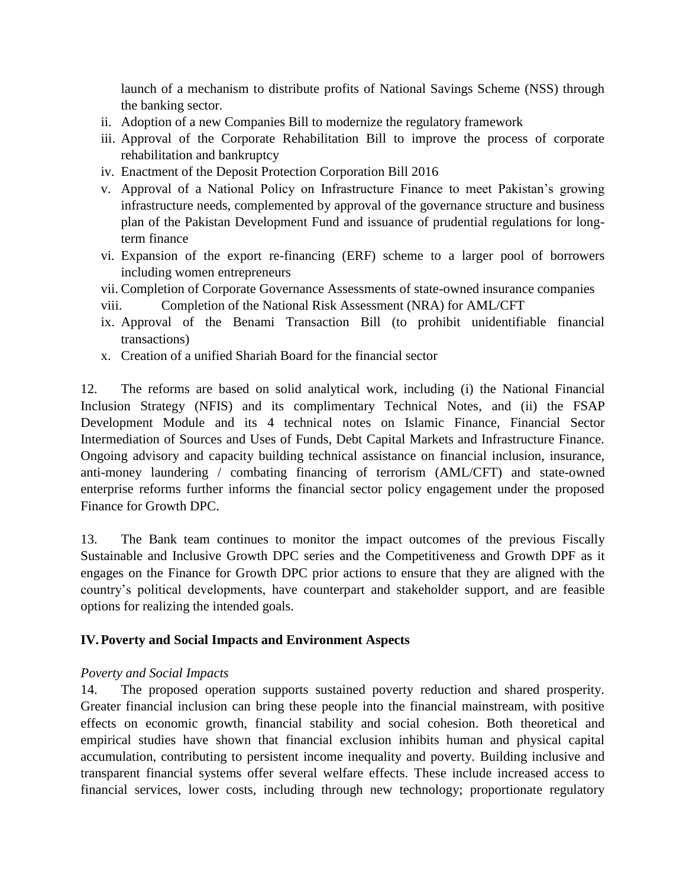launch of a mechanism to distribute profits of National Savings Scheme (NSS) through the banking sector.

- ii. Adoption of a new Companies Bill to modernize the regulatory framework
- iii. Approval of the Corporate Rehabilitation Bill to improve the process of corporate rehabilitation and bankruptcy
- iv. Enactment of the Deposit Protection Corporation Bill 2016
- v. Approval of a National Policy on Infrastructure Finance to meet Pakistan's growing infrastructure needs, complemented by approval of the governance structure and business plan of the Pakistan Development Fund and issuance of prudential regulations for longterm finance
- vi. Expansion of the export re-financing (ERF) scheme to a larger pool of borrowers including women entrepreneurs
- vii. Completion of Corporate Governance Assessments of state-owned insurance companies
- viii. Completion of the National Risk Assessment (NRA) for AML/CFT
- ix. Approval of the Benami Transaction Bill (to prohibit unidentifiable financial transactions)
- x. Creation of a unified Shariah Board for the financial sector

12. The reforms are based on solid analytical work, including (i) the National Financial Inclusion Strategy (NFIS) and its complimentary Technical Notes, and (ii) the FSAP Development Module and its 4 technical notes on Islamic Finance, Financial Sector Intermediation of Sources and Uses of Funds, Debt Capital Markets and Infrastructure Finance. Ongoing advisory and capacity building technical assistance on financial inclusion, insurance, anti-money laundering / combating financing of terrorism (AML/CFT) and state-owned enterprise reforms further informs the financial sector policy engagement under the proposed Finance for Growth DPC.

13. The Bank team continues to monitor the impact outcomes of the previous Fiscally Sustainable and Inclusive Growth DPC series and the Competitiveness and Growth DPF as it engages on the Finance for Growth DPC prior actions to ensure that they are aligned with the country's political developments, have counterpart and stakeholder support, and are feasible options for realizing the intended goals.

# **IV.Poverty and Social Impacts and Environment Aspects**

# *Poverty and Social Impacts*

14. The proposed operation supports sustained poverty reduction and shared prosperity. Greater financial inclusion can bring these people into the financial mainstream, with positive effects on economic growth, financial stability and social cohesion. Both theoretical and empirical studies have shown that financial exclusion inhibits human and physical capital accumulation, contributing to persistent income inequality and poverty. Building inclusive and transparent financial systems offer several welfare effects. These include increased access to financial services, lower costs, including through new technology; proportionate regulatory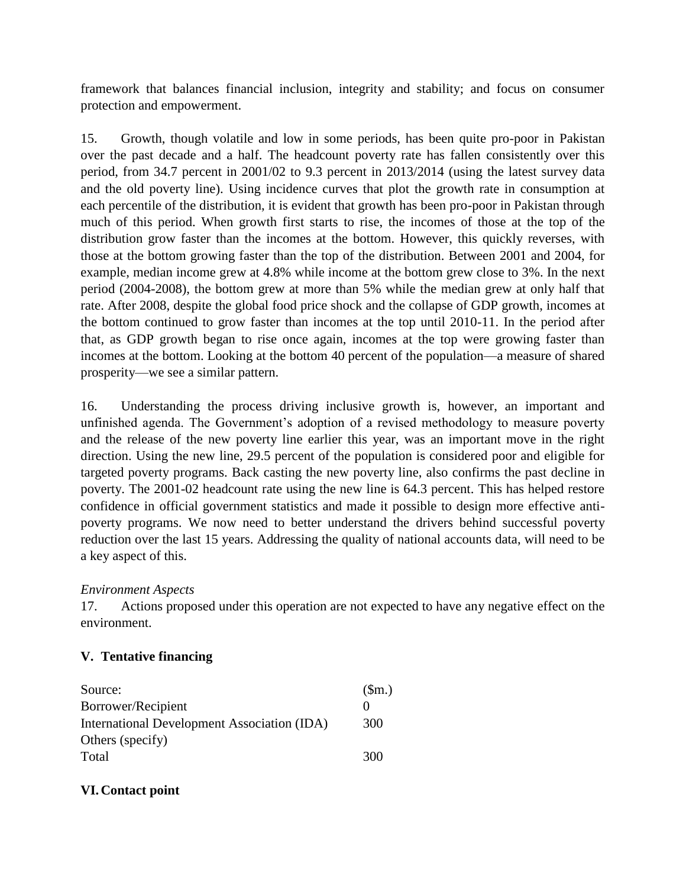framework that balances financial inclusion, integrity and stability; and focus on consumer protection and empowerment.

15. Growth, though volatile and low in some periods, has been quite pro-poor in Pakistan over the past decade and a half. The headcount poverty rate has fallen consistently over this period, from 34.7 percent in 2001/02 to 9.3 percent in 2013/2014 (using the latest survey data and the old poverty line). Using incidence curves that plot the growth rate in consumption at each percentile of the distribution, it is evident that growth has been pro-poor in Pakistan through much of this period. When growth first starts to rise, the incomes of those at the top of the distribution grow faster than the incomes at the bottom. However, this quickly reverses, with those at the bottom growing faster than the top of the distribution. Between 2001 and 2004, for example, median income grew at 4.8% while income at the bottom grew close to 3%. In the next period (2004-2008), the bottom grew at more than 5% while the median grew at only half that rate. After 2008, despite the global food price shock and the collapse of GDP growth, incomes at the bottom continued to grow faster than incomes at the top until 2010-11. In the period after that, as GDP growth began to rise once again, incomes at the top were growing faster than incomes at the bottom. Looking at the bottom 40 percent of the population—a measure of shared prosperity—we see a similar pattern.

16. Understanding the process driving inclusive growth is, however, an important and unfinished agenda. The Government's adoption of a revised methodology to measure poverty and the release of the new poverty line earlier this year, was an important move in the right direction. Using the new line, 29.5 percent of the population is considered poor and eligible for targeted poverty programs. Back casting the new poverty line, also confirms the past decline in poverty. The 2001-02 headcount rate using the new line is 64.3 percent. This has helped restore confidence in official government statistics and made it possible to design more effective antipoverty programs. We now need to better understand the drivers behind successful poverty reduction over the last 15 years. Addressing the quality of national accounts data, will need to be a key aspect of this.

# *Environment Aspects*

17. Actions proposed under this operation are not expected to have any negative effect on the environment.

# **V. Tentative financing**

| Source:                                     | \$m.)             |
|---------------------------------------------|-------------------|
| Borrower/Recipient                          | $\mathbf{\Omega}$ |
| International Development Association (IDA) | 300               |
| Others (specify)                            |                   |
| Total                                       | 300               |

# **VI.Contact point**